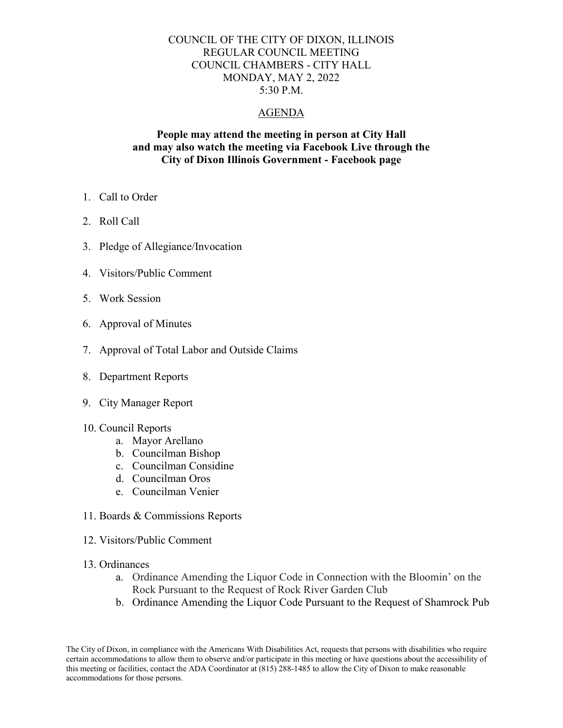# COUNCIL OF THE CITY OF DIXON, ILLINOIS REGULAR COUNCIL MEETING COUNCIL CHAMBERS - CITY HALL MONDAY, MAY 2, 2022 5:30 P.M.

### AGENDA

# **People may attend the meeting in person at City Hall and may also watch the meeting via Facebook Live through the City of Dixon Illinois Government - Facebook page**

- 1. Call to Order
- 2. Roll Call
- 3. Pledge of Allegiance/Invocation
- 4. Visitors/Public Comment
- 5. Work Session
- 6. Approval of Minutes
- 7. Approval of Total Labor and Outside Claims
- 8. Department Reports
- 9. City Manager Report

## 10. Council Reports

- a. Mayor Arellano
- b. Councilman Bishop
- c. Councilman Considine
- d. Councilman Oros
- e. Councilman Venier
- 11. Boards & Commissions Reports
- 12. Visitors/Public Comment
- 13. Ordinances
	- a. Ordinance Amending the Liquor Code in Connection with the Bloomin' on the Rock Pursuant to the Request of Rock River Garden Club
	- b. Ordinance Amending the Liquor Code Pursuant to the Request of Shamrock Pub

The City of Dixon, in compliance with the Americans With Disabilities Act, requests that persons with disabilities who require certain accommodations to allow them to observe and/or participate in this meeting or have questions about the accessibility of this meeting or facilities, contact the ADA Coordinator at (815) 288-1485 to allow the City of Dixon to make reasonable accommodations for those persons.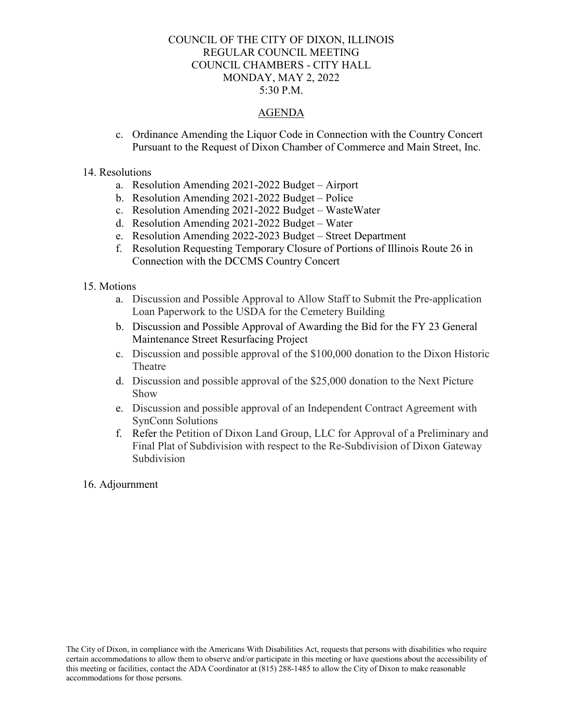# COUNCIL OF THE CITY OF DIXON, ILLINOIS REGULAR COUNCIL MEETING COUNCIL CHAMBERS - CITY HALL MONDAY, MAY 2, 2022 5:30 P.M.

## AGENDA

c. Ordinance Amending the Liquor Code in Connection with the Country Concert Pursuant to the Request of Dixon Chamber of Commerce and Main Street, Inc.

#### 14. Resolutions

- a. Resolution Amending 2021-2022 Budget Airport
- b. Resolution Amending 2021-2022 Budget Police
- c. Resolution Amending 2021-2022 Budget WasteWater
- d. Resolution Amending 2021-2022 Budget Water
- e. Resolution Amending 2022-2023 Budget Street Department
- f. Resolution Requesting Temporary Closure of Portions of Illinois Route 26 in Connection with the DCCMS Country Concert

#### 15. Motions

- a. Discussion and Possible Approval to Allow Staff to Submit the Pre-application Loan Paperwork to the USDA for the Cemetery Building
- b. Discussion and Possible Approval of Awarding the Bid for the FY 23 General Maintenance Street Resurfacing Project
- c. Discussion and possible approval of the \$100,000 donation to the Dixon Historic Theatre
- d. Discussion and possible approval of the \$25,000 donation to the Next Picture Show
- e. Discussion and possible approval of an Independent Contract Agreement with SynConn Solutions
- f. Refer the Petition of Dixon Land Group, LLC for Approval of a Preliminary and Final Plat of Subdivision with respect to the Re-Subdivision of Dixon Gateway Subdivision

## 16. Adjournment